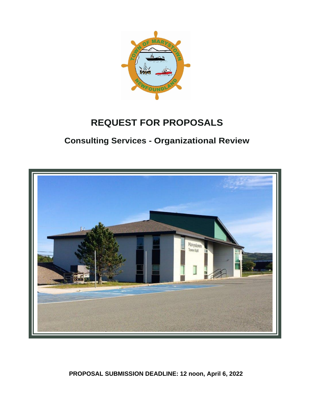

# **REQUEST FOR PROPOSALS**

## **Consulting Services - Organizational Review**



**PROPOSAL SUBMISSION DEADLINE: 12 noon, April 6, 2022**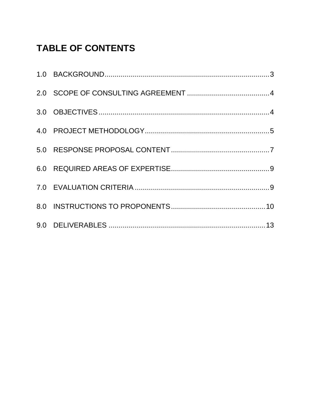# **TABLE OF CONTENTS**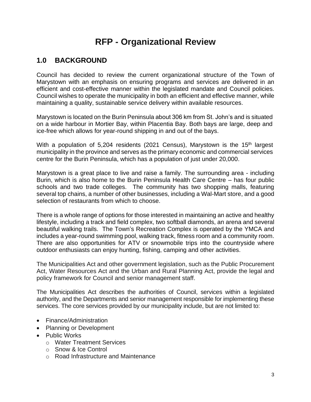## **RFP - Organizational Review**

## <span id="page-2-0"></span>**1.0 BACKGROUND**

Council has decided to review the current organizational structure of the Town of Marystown with an emphasis on ensuring programs and services are delivered in an efficient and cost-effective manner within the legislated mandate and Council policies. Council wishes to operate the municipality in both an efficient and effective manner, while maintaining a quality, sustainable service delivery within available resources.

Marystown is located on the Burin Peninsula about 306 km from St. John's and is situated on a wide harbour in Mortier Bay, within Placentia Bay. Both bays are large, deep and ice-free which allows for year-round shipping in and out of the bays.

With a population of 5,204 residents (2021 Census), Marystown is the 15<sup>th</sup> largest municipality in the province and serves as the primary economic and commercial services centre for the Burin Peninsula, which has a population of just under 20,000.

Marystown is a great place to live and raise a family. The surrounding area - including Burin, which is also home to the Burin Peninsula Health Care Centre – has four public schools and two trade colleges. The community has two shopping malls, featuring several top chains, a number of other businesses, including a Wal-Mart store, and a good selection of restaurants from which to choose.

There is a whole range of options for those interested in maintaining an active and healthy lifestyle, including a track and field complex, two softball diamonds, an arena and several beautiful walking trails. The Town's Recreation Complex is operated by the YMCA and includes a year-round swimming pool, walking track, fitness room and a community room. There are also opportunities for ATV or snowmobile trips into the countryside where outdoor enthusiasts can enjoy hunting, fishing, camping and other activities.

The Municipalities Act and other government legislation, such as the Public Procurement Act, Water Resources Act and the Urban and Rural Planning Act, provide the legal and policy framework for Council and senior management staff.

The Municipalities Act describes the authorities of Council, services within a legislated authority, and the Departments and senior management responsible for implementing these services. The core services provided by our municipality include, but are not limited to:

- Finance/Administration
- Planning or Development
- Public Works
	- o Water Treatment Services
	- o Snow & Ice Control
	- o Road Infrastructure and Maintenance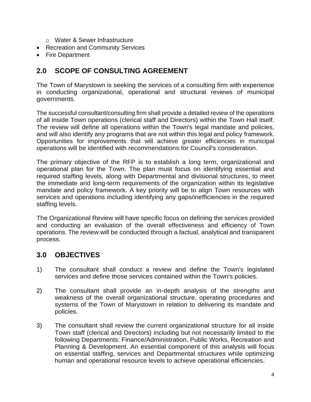- o Water & Sewer Infrastructure
- Recreation and Community Services
- Fire Department

## <span id="page-3-0"></span>**2.0 SCOPE OF CONSULTING AGREEMENT**

The Town of Marystown is seeking the services of a consulting firm with experience in conducting organizational, operational and structural reviews of municipal governments.

The successful consultant/consulting firm shall provide a detailed review of the operations of all inside Town operations (clerical staff and Directors) within the Town Hall itself. The review will define all operations within the Town's legal mandate and policies, and will also identify any programs that are not within this legal and policy framework. Opportunities for improvements that will achieve greater efficiencies in municipal operations will be identified with recommendations for Council's consideration.

The primary objective of the RFP is to establish a long term, organizational and operational plan for the Town. The plan must focus on identifying essential and required staffing levels, along with Departmental and divisional structures, to meet the immediate and long-term requirements of the organization within its legislative mandate and policy framework. A key priority will be to align Town resources with services and operations including identifying any gaps/inefficiencies in the required staffing levels.

The Organizational Review will have specific focus on defining the services provided and conducting an evaluation of the overall effectiveness and efficiency of Town operations. The review will be conducted through a factual, analytical and transparent process.

#### <span id="page-3-1"></span>**3.0 OBJECTIVES**

- 1) The consultant shall conduct a review and define the Town's legislated services and define those services contained within the Town's policies.
- 2) The consultant shall provide an in-depth analysis of the strengths and weakness of the overall organizational structure, operating procedures and systems of the Town of Marystown in relation to delivering its mandate and policies.
- 3) The consultant shall review the current organizational structure for all inside Town staff (clerical and Directors) including but not necessarily limited to the following Departments: Finance/Administration, Public Works, Recreation and Planning & Development. An essential component of this analysis will focus on essential staffing, services and Departmental structures while optimizing human and operational resource levels to achieve operational efficiencies.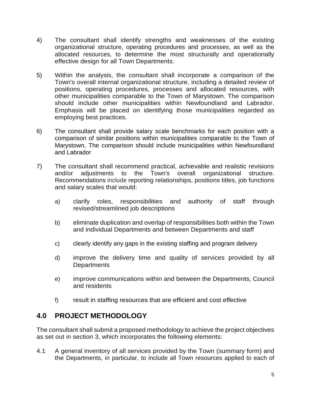- 4) The consultant shall identify strengths and weaknesses of the existing organizational structure, operating procedures and processes, as well as the allocated resources, to determine the most structurally and operationally effective design for all Town Departments.
- 5) Within the analysis, the consultant shall incorporate a comparison of the Town's overall internal organizational structure, including a detailed review of positions, operating procedures, processes and allocated resources, with other municipalities comparable to the Town of Marystown. The comparison should include other municipalities within Newfoundland and Labrador. Emphasis will be placed on identifying those municipalities regarded as employing best practices.
- 6) The consultant shall provide salary scale benchmarks for each position with a comparison of similar positions within municipalities comparable to the Town of Marystown. The comparison should include municipalities within Newfoundland and Labrador
- 7) The consultant shall recommend practical, achievable and realistic revisions and/or adjustments to the Town's overall organizational structure. Recommendations include reporting relationships, positions titles, job functions and salary scales that would:
	- a) clarify roles, responsibilities and authority of staff through revised/streamlined job descriptions
	- b) eliminate duplication and overlap of responsibilities both within the Town and individual Departments and between Departments and staff
	- c) clearly identify any gaps in the existing staffing and program delivery
	- d) improve the delivery time and quality of services provided by all **Departments**
	- e) improve communications within and between the Departments, Council and residents
	- f) result in staffing resources that are efficient and cost effective

### <span id="page-4-0"></span>**4.0 PROJECT METHODOLOGY**

The consultant shall submit a proposed methodology to achieve the project objectives as set out in section 3, which incorporates the following elements:

4.1 A general inventory of all services provided by the Town (summary form) and the Departments, in particular, to include all Town resources applied to each of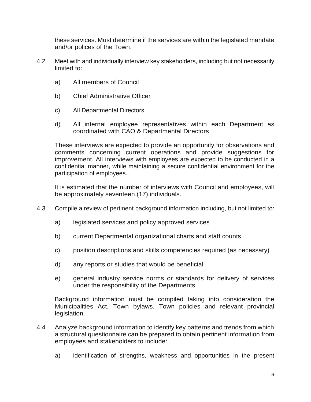these services. Must determine if the services are within the legislated mandate and/or polices of the Town.

- 4.2 Meet with and individually interview key stakeholders, including but not necessarily limited to:
	- a) All members of Council
	- b) Chief Administrative Officer
	- c) All Departmental Directors
	- d) All internal employee representatives within each Department as coordinated with CAO & Departmental Directors

These interviews are expected to provide an opportunity for observations and comments concerning current operations and provide suggestions for improvement. All interviews with employees are expected to be conducted in a confidential manner, while maintaining a secure confidential environment for the participation of employees.

It is estimated that the number of interviews with Council and employees, will be approximately seventeen (17) individuals.

- 4.3 Compile a review of pertinent background information including, but not limited to:
	- a) legislated services and policy approved services
	- b) current Departmental organizational charts and staff counts
	- c) position descriptions and skills competencies required (as necessary)
	- d) any reports or studies that would be beneficial
	- e) general industry service norms or standards for delivery of services under the responsibility of the Departments

Background information must be compiled taking into consideration the Municipalities Act, Town bylaws, Town policies and relevant provincial legislation.

- 4.4 Analyze background information to identify key patterns and trends from which a structural questionnaire can be prepared to obtain pertinent information from employees and stakeholders to include:
	- a) identification of strengths, weakness and opportunities in the present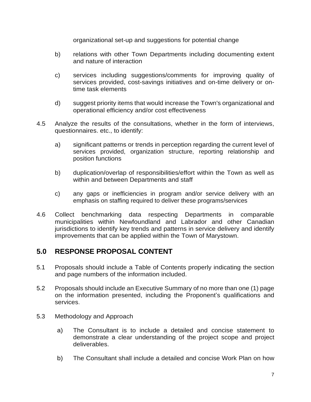organizational set-up and suggestions for potential change

- b) relations with other Town Departments including documenting extent and nature of interaction
- c) services including suggestions/comments for improving quality of services provided, cost-savings initiatives and on-time delivery or ontime task elements
- d) suggest priority items that would increase the Town's organizational and operational efficiency and/or cost effectiveness
- 4.5 Analyze the results of the consultations, whether in the form of interviews, questionnaires. etc., to identify:
	- a) significant patterns or trends in perception regarding the current level of services provided, organization structure, reporting relationship and position functions
	- b) duplication/overlap of responsibilities/effort within the Town as well as within and between Departments and staff
	- c) any gaps or inefficiencies in program and/or service delivery with an emphasis on staffing required to deliver these programs/services
- 4.6 Collect benchmarking data respecting Departments in comparable municipalities within Newfoundland and Labrador and other Canadian jurisdictions to identify key trends and patterns in service delivery and identify improvements that can be applied within the Town of Marystown.

#### <span id="page-6-0"></span>**5.0 RESPONSE PROPOSAL CONTENT**

- 5.1 Proposals should include a Table of Contents properly indicating the section and page numbers of the information included.
- 5.2 Proposals should include an Executive Summary of no more than one (1) page on the information presented, including the Proponent's qualifications and services.
- 5.3 Methodology and Approach
	- a) The Consultant is to include a detailed and concise statement to demonstrate a clear understanding of the project scope and project deliverables.
	- b) The Consultant shall include a detailed and concise Work Plan on how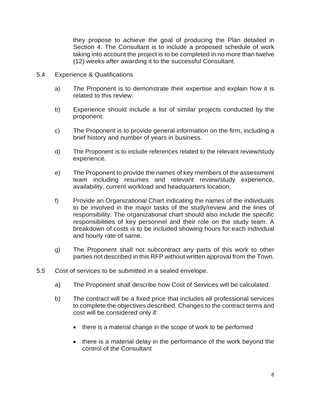they propose to achieve the goal of producing the Plan detailed in Section 4. The Consultant is to include a proposed schedule of work taking into account the project is to be completed in no more than twelve (12) weeks after awarding it to the successful Consultant.

- 5.4 Experience & Qualifications
	- a) The Proponent is to demonstrate their expertise and explain how it is related to this review.
	- b) Experience should include a list of similar projects conducted by the proponent.
	- c) The Proponent is to provide general information on the firm, including a brief history and number of years in business.
	- d) The Proponent is to include references related to the relevant review/study experience.
	- e) The Proponent to provide the names of key members of the assessment team including resumes and relevant review/study experience, availability, current workload and headquarters location.
	- f) Provide an Organizational Chart indicating the names of the individuals to be involved in the major tasks of the study/review and the lines of responsibility. The organizational chart should also include the specific responsibilities of key personnel and their role on the study team. A breakdown of costs is to be included showing hours for each individual and hourly rate of same.
	- g) The Proponent shall not subcontract any parts of this work to other parties not described in this RFP without written approval from the Town.
- 5.5 Cost of services to be submitted in a sealed envelope.
	- a) The Proponent shall describe how Cost of Services will be calculated.
	- b) The contract will be a fixed price that includes all professional services to complete the objectives described. Changes to the contract terms and cost will be considered only if:
		- there is a material change in the scope of work to be performed
		- there is a material delay in the performance of the work beyond the control of the Consultant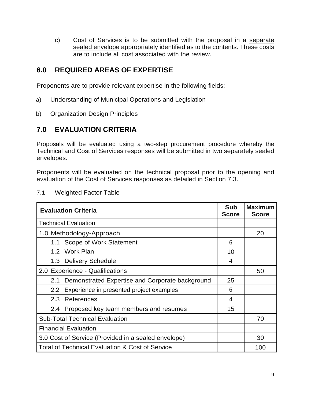c) Cost of Services is to be submitted with the proposal in a separate sealed envelope appropriately identified as to the contents. These costs are to include all cost associated with the review.

### <span id="page-8-0"></span>**6.0 REQUIRED AREAS OF EXPERTISE**

Proponents are to provide relevant expertise in the following fields:

- a) Understanding of Municipal Operations and Legislation
- b) Organization Design Principles

### <span id="page-8-1"></span>**7.0 EVALUATION CRITERIA**

Proposals will be evaluated using a two-step procurement procedure whereby the Technical and Cost of Services responses will be submitted in two separately sealed envelopes.

Proponents will be evaluated on the technical proposal prior to the opening and evaluation of the Cost of Services responses as detailed in Section 7.3.

| <b>Evaluation Criteria</b>                                 | <b>Sub</b><br><b>Score</b> | <b>Maximum</b><br><b>Score</b> |  |
|------------------------------------------------------------|----------------------------|--------------------------------|--|
| <b>Technical Evaluation</b>                                |                            |                                |  |
| 1.0 Methodology-Approach                                   |                            | 20                             |  |
| Scope of Work Statement<br>1.1                             | 6                          |                                |  |
| 1.2 Work Plan                                              | 10                         |                                |  |
| 1.3 Delivery Schedule                                      | $\overline{4}$             |                                |  |
| 2.0 Experience - Qualifications                            |                            | 50                             |  |
| Demonstrated Expertise and Corporate background<br>2.1     | 25                         |                                |  |
| Experience in presented project examples<br>$2.2^{\circ}$  | 6                          |                                |  |
| References<br>2.3                                          | $\overline{4}$             |                                |  |
| 2.4 Proposed key team members and resumes                  | 15                         |                                |  |
| <b>Sub-Total Technical Evaluation</b>                      |                            | 70                             |  |
| <b>Financial Evaluation</b>                                |                            |                                |  |
| 3.0 Cost of Service (Provided in a sealed envelope)        |                            |                                |  |
| <b>Total of Technical Evaluation &amp; Cost of Service</b> |                            |                                |  |

#### 7.1 Weighted Factor Table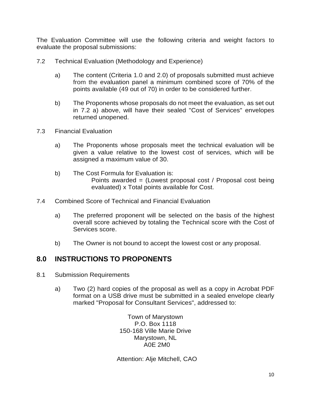The Evaluation Committee will use the following criteria and weight factors to evaluate the proposal submissions:

- 7.2 Technical Evaluation (Methodology and Experience)
	- a) The content (Criteria 1.0 and 2.0) of proposals submitted must achieve from the evaluation panel a minimum combined score of 70% of the points available (49 out of 70) in order to be considered further.
	- b) The Proponents whose proposals do not meet the evaluation, as set out in 7.2 a) above, will have their sealed "Cost of Services" envelopes returned unopened.
- 7.3 Financial Evaluation
	- a) The Proponents whose proposals meet the technical evaluation will be given a value relative to the lowest cost of services, which will be assigned a maximum value of 30.
	- b) The Cost Formula for Evaluation is: Points awarded = (Lowest proposal cost / Proposal cost being evaluated) x Total points available for Cost.
- 7.4 Combined Score of Technical and Financial Evaluation
	- a) The preferred proponent will be selected on the basis of the highest overall score achieved by totaling the Technical score with the Cost of Services score.
	- b) The Owner is not bound to accept the lowest cost or any proposal.

#### <span id="page-9-0"></span>**8.0 INSTRUCTIONS TO PROPONENTS**

- 8.1 Submission Requirements
	- a) Two (2) hard copies of the proposal as well as a copy in Acrobat PDF format on a USB drive must be submitted in a sealed envelope clearly marked "Proposal for Consultant Services", addressed to:

Town of Marystown P.O. Box 1118 150-168 Ville Marie Drive Marystown, NL A0E 2M0

Attention: Alje Mitchell, CAO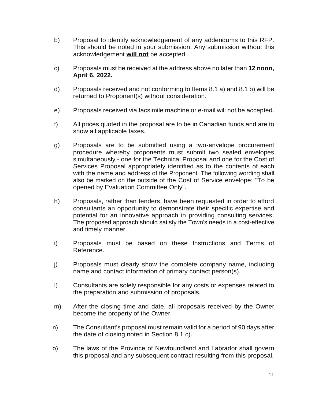- b) Proposal to identify acknowledgement of any addendums to this RFP. This should be noted in your submission. Any submission without this acknowledgement **will not** be accepted.
- c) Proposals must be received at the address above no later than **12 noon, April 6, 2022.**
- d) Proposals received and not conforming to Items 8.1 a) and 8.1 b) will be returned to Proponent(s) without consideration.
- e) Proposals received via facsimile machine or e-mail will not be accepted.
- f) All prices quoted in the proposal are to be in Canadian funds and are to show all applicable taxes.
- g) Proposals are to be submitted using a two-envelope procurement procedure whereby proponents must submit two sealed envelopes simultaneously - one for the Technical Proposal and one for the Cost of Services Proposal appropriately identified as to the contents of each with the name and address of the Proponent. The following wording shall also be marked on the outside of the Cost of Service envelope: "To be opened by Evaluation Committee Only".
- h) Proposals, rather than tenders, have been requested in order to afford consultants an opportunity to demonstrate their specific expertise and potential for an innovative approach in providing consulting services. The proposed approach should satisfy the Town's needs in a cost-effective and timely manner.
- i) Proposals must be based on these Instructions and Terms of Reference.
- j) Proposals must clearly show the complete company name, including name and contact information of primary contact person(s).
- I) Consultants are solely responsible for any costs or expenses related to the preparation and submission of proposals.
- m) After the closing time and date, all proposals received by the Owner become the property of the Owner.
- n) The Consultant's proposal must remain valid for a period of 90 days after the date of closing noted in Section 8.1 c).
- o) The laws of the Province of Newfoundland and Labrador shall govern this proposal and any subsequent contract resulting from this proposal.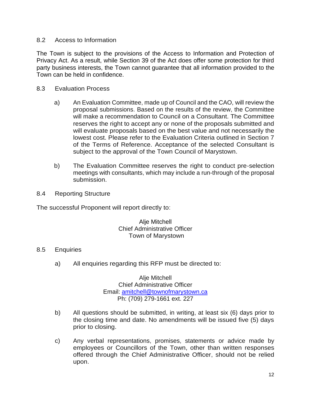#### 8.2 Access to Information

The Town is subject to the provisions of the Access to Information and Protection of Privacy Act. As a result, while Section 39 of the Act does offer some protection for third party business interests, the Town cannot guarantee that all information provided to the Town can be held in confidence.

#### 8.3 Evaluation Process

- a) An Evaluation Committee, made up of Council and the CAO, will review the proposal submissions. Based on the results of the review, the Committee will make a recommendation to Council on a Consultant. The Committee reserves the right to accept any or none of the proposals submitted and will evaluate proposals based on the best value and not necessarily the lowest cost. Please refer to the Evaluation Criteria outlined in Section 7 of the Terms of Reference. Acceptance of the selected Consultant is subject to the approval of the Town Council of Marystown.
- b) The Evaluation Committee reserves the right to conduct pre-selection meetings with consultants, which may include a run-through of the proposal submission.
- 8.4 Reporting Structure

The successful Proponent will report directly to:

Alie Mitchell Chief Administrative Officer Town of Marystown

#### 8.5 Enquiries

a) All enquiries regarding this RFP must be directed to:

Alje Mitchell Chief Administrative Officer Email: [amitchell@townofmarystown.ca](mailto:amitchell@townofmarystown.ca) Ph: (709) 279-1661 ext. 227

- b) All questions should be submitted, in writing, at least six (6) days prior to the closing time and date. No amendments will be issued five (5) days prior to closing.
- c) Any verbal representations, promises, statements or advice made by employees or Councillors of the Town, other than written responses offered through the Chief Administrative Officer, should not be relied upon.